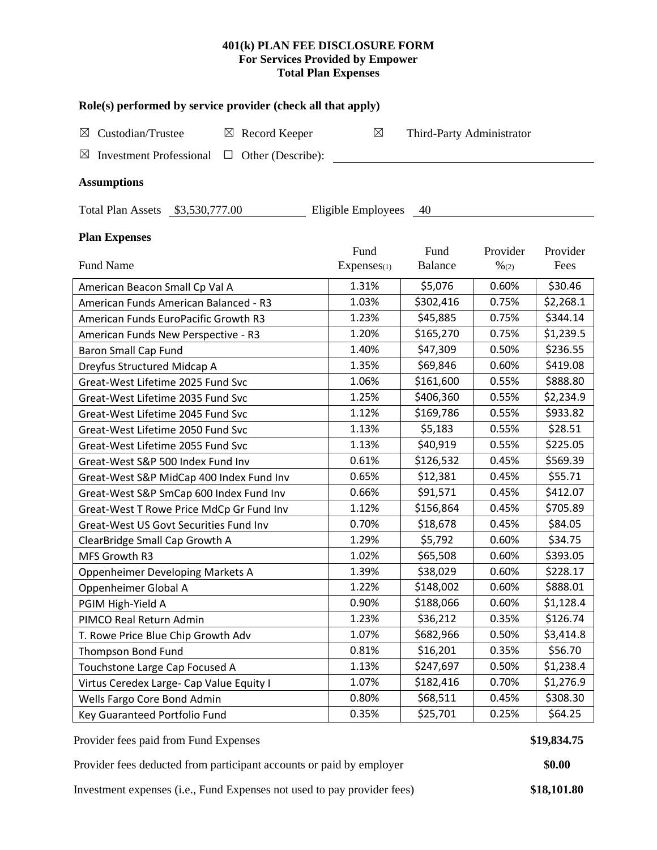### **401(k) PLAN FEE DISCLOSURE FORM For Services Provided by Empower Total Plan Expenses**

| Role(s) performed by service provider (check all that apply)    |             |                           |                  |           |  |  |  |  |  |  |
|-----------------------------------------------------------------|-------------|---------------------------|------------------|-----------|--|--|--|--|--|--|
| Custodian/Trustee<br>$\boxtimes$ Record Keeper<br>$\boxtimes$   | $\boxtimes$ | Third-Party Administrator |                  |           |  |  |  |  |  |  |
| $\Box$ Other (Describe):<br>$\boxtimes$ Investment Professional |             |                           |                  |           |  |  |  |  |  |  |
|                                                                 |             |                           |                  |           |  |  |  |  |  |  |
| <b>Assumptions</b>                                              |             |                           |                  |           |  |  |  |  |  |  |
| Total Plan Assets \$3,530,777.00<br>Eligible Employees<br>40    |             |                           |                  |           |  |  |  |  |  |  |
| <b>Plan Expenses</b>                                            |             |                           |                  |           |  |  |  |  |  |  |
|                                                                 | Fund        | Fund                      | Provider         | Provider  |  |  |  |  |  |  |
| Fund Name                                                       | Expenses(1) | <b>Balance</b>            | $\frac{9}{6(2)}$ | Fees      |  |  |  |  |  |  |
| American Beacon Small Cp Val A                                  | 1.31%       | \$5,076                   | 0.60%            | \$30.46   |  |  |  |  |  |  |
| American Funds American Balanced - R3                           | 1.03%       | \$302,416                 | 0.75%            | \$2,268.1 |  |  |  |  |  |  |
| American Funds EuroPacific Growth R3                            | 1.23%       | \$45,885                  | 0.75%            | \$344.14  |  |  |  |  |  |  |
| American Funds New Perspective - R3                             | 1.20%       | \$165,270                 | 0.75%            | \$1,239.5 |  |  |  |  |  |  |
| Baron Small Cap Fund                                            | 1.40%       | \$47,309                  | 0.50%            | \$236.55  |  |  |  |  |  |  |
| Dreyfus Structured Midcap A                                     | 1.35%       | \$69,846                  | 0.60%            | \$419.08  |  |  |  |  |  |  |
| Great-West Lifetime 2025 Fund Svc                               | 1.06%       | \$161,600                 | 0.55%            | \$888.80  |  |  |  |  |  |  |
| Great-West Lifetime 2035 Fund Svc                               | 1.25%       | \$406,360                 | 0.55%            | \$2,234.9 |  |  |  |  |  |  |
| Great-West Lifetime 2045 Fund Svc                               | 1.12%       | \$169,786                 | 0.55%            | \$933.82  |  |  |  |  |  |  |
| Great-West Lifetime 2050 Fund Svc                               | 1.13%       | \$5,183                   | 0.55%            | \$28.51   |  |  |  |  |  |  |
| Great-West Lifetime 2055 Fund Svc                               | 1.13%       | \$40,919                  | 0.55%            | \$225.05  |  |  |  |  |  |  |
| Great-West S&P 500 Index Fund Inv                               | 0.61%       | \$126,532                 | 0.45%            | \$569.39  |  |  |  |  |  |  |
| Great-West S&P MidCap 400 Index Fund Inv                        | 0.65%       | \$12,381                  | 0.45%            | \$55.71   |  |  |  |  |  |  |
| Great-West S&P SmCap 600 Index Fund Inv                         | 0.66%       | \$91,571                  | 0.45%            | \$412.07  |  |  |  |  |  |  |
| Great-West T Rowe Price MdCp Gr Fund Inv                        | 1.12%       | \$156,864                 | 0.45%            | \$705.89  |  |  |  |  |  |  |
| Great-West US Govt Securities Fund Inv                          | 0.70%       | \$18,678                  | 0.45%            | \$84.05   |  |  |  |  |  |  |
| ClearBridge Small Cap Growth A                                  | 1.29%       | \$5,792                   | 0.60%            | \$34.75   |  |  |  |  |  |  |
| MFS Growth R3                                                   | 1.02%       | \$65,508                  | 0.60%            | \$393.05  |  |  |  |  |  |  |
| Oppenheimer Developing Markets A                                | 1.39%       | \$38,029                  | 0.60%            | \$228.17  |  |  |  |  |  |  |
| Oppenheimer Global A                                            | 1.22%       | \$148,002                 | 0.60%            | \$888.01  |  |  |  |  |  |  |
| PGIM High-Yield A                                               | 0.90%       | \$188,066                 | 0.60%            | \$1,128.4 |  |  |  |  |  |  |
| PIMCO Real Return Admin                                         | 1.23%       | \$36,212                  | 0.35%            | \$126.74  |  |  |  |  |  |  |
| T. Rowe Price Blue Chip Growth Adv                              | 1.07%       | \$682,966                 | 0.50%            | \$3,414.8 |  |  |  |  |  |  |
| Thompson Bond Fund                                              | 0.81%       | \$16,201                  | 0.35%            | \$56.70   |  |  |  |  |  |  |
| Touchstone Large Cap Focused A                                  | 1.13%       | \$247,697                 | 0.50%            | \$1,238.4 |  |  |  |  |  |  |
| Virtus Ceredex Large- Cap Value Equity I                        | 1.07%       | \$182,416                 | 0.70%            | \$1,276.9 |  |  |  |  |  |  |
| Wells Fargo Core Bond Admin                                     | 0.80%       | \$68,511                  | 0.45%            | \$308.30  |  |  |  |  |  |  |
| Key Guaranteed Portfolio Fund                                   | 0.35%       | \$25,701                  | 0.25%            | \$64.25   |  |  |  |  |  |  |

Provider fees paid from Fund Expenses **\$19,834.75** 

Provider fees deducted from participant accounts or paid by employer **\$0.00** 

Investment expenses (i.e., Fund Expenses not used to pay provider fees) **\$18,101.80**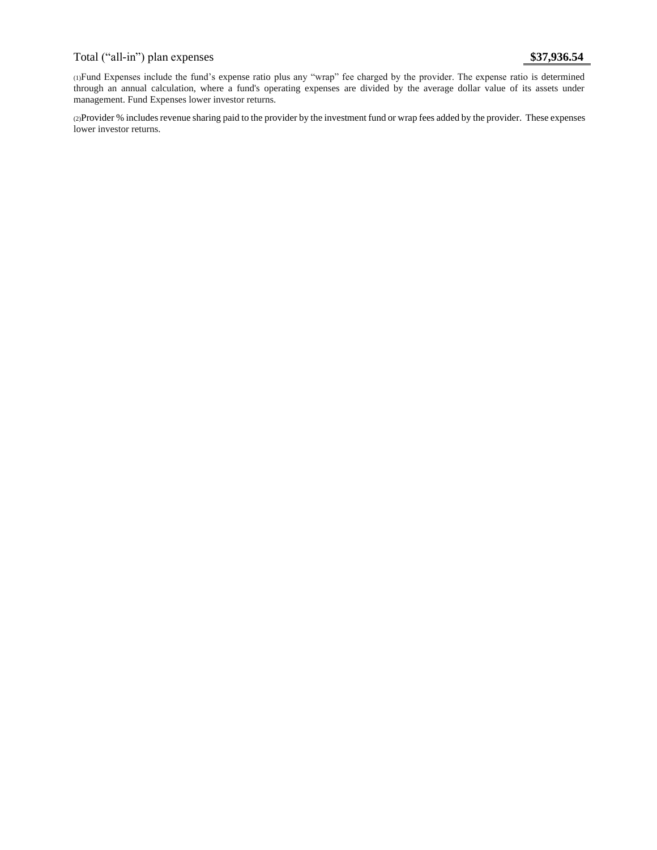# Total ("all-in") plan expenses **\$37,936.54**

(1)Fund Expenses include the fund's expense ratio plus any "wrap" fee charged by the provider. The expense ratio is determined through an annual calculation, where a fund's operating expenses are divided by the average dollar value of its assets under management. Fund Expenses lower investor returns.

(2)Provider % includes revenue sharing paid to the provider by the investment fund or wrap fees added by the provider. These expenses lower investor returns.